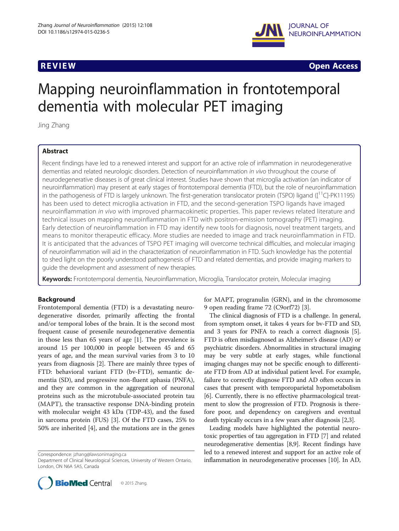

**REVIEW CONSTRUCTION CONSTRUCTION CONSTRUCTS** 

# Mapping neuroinflammation in frontotemporal dementia with molecular PET imaging

Jing Zhang

# Abstract

Recent findings have led to a renewed interest and support for an active role of inflammation in neurodegenerative dementias and related neurologic disorders. Detection of neuroinflammation in vivo throughout the course of neurodegenerative diseases is of great clinical interest. Studies have shown that microglia activation (an indicator of neuroinflammation) may present at early stages of frontotemporal dementia (FTD), but the role of neuroinflammation in the pathogenesis of FTD is largely unknown. The first-generation translocator protein (TSPO) ligand  $(I<sup>11</sup>C]-PK11195)$ has been used to detect microglia activation in FTD, and the second-generation TSPO ligands have imaged neuroinflammation in vivo with improved pharmacokinetic properties. This paper reviews related literature and technical issues on mapping neuroinflammation in FTD with positron-emission tomography (PET) imaging. Early detection of neuroinflammation in FTD may identify new tools for diagnosis, novel treatment targets, and means to monitor therapeutic efficacy. More studies are needed to image and track neuroinflammation in FTD. It is anticipated that the advances of TSPO PET imaging will overcome technical difficulties, and molecular imaging of neuroinflammation will aid in the characterization of neuroinflammation in FTD. Such knowledge has the potential to shed light on the poorly understood pathogenesis of FTD and related dementias, and provide imaging markers to guide the development and assessment of new therapies.

Keywords: Frontotemporal dementia, Neuroinflammation, Microglia, Translocator protein, Molecular imaging

# Background

Frontotemporal dementia (FTD) is a devastating neurodegenerative disorder, primarily affecting the frontal and/or temporal lobes of the brain. It is the second most frequent cause of presenile neurodegenerative dementia in those less than 65 years of age [\[1](#page-4-0)]. The prevalence is around 15 per 100,000 in people between 45 and 65 years of age, and the mean survival varies from 3 to 10 years from diagnosis [\[2](#page-4-0)]. There are mainly three types of FTD: behavioral variant FTD (bv-FTD), semantic dementia (SD), and progressive non-fluent aphasia (PNFA), and they are common in the aggregation of neuronal proteins such as the microtubule-associated protein tau (MAPT), the transactive response DNA-binding protein with molecular weight 43 kDa (TDP-43), and the fused in sarcoma protein (FUS) [[3\]](#page-4-0). Of the FTD cases, 25% to 50% are inherited [[4](#page-4-0)], and the mutations are in the genes

Correspondence: [jzhang@lawsonimaging.ca](mailto:jzhang@lawsonimaging.ca)

Department of Clinical Neurological Sciences, University of Western Ontario, London, ON N6A 5A5, Canada



for MAPT, progranulin (GRN), and in the chromosome 9 open reading frame 72 (C9orf72) [[3\]](#page-4-0).

The clinical diagnosis of FTD is a challenge. In general, from symptom onset, it takes 4 years for bv-FTD and SD, and 3 years for PNFA to reach a correct diagnosis [[5](#page-4-0)]. FTD is often misdiagnosed as Alzheimer's disease (AD) or psychiatric disorders. Abnormalities in structural imaging may be very subtle at early stages, while functional imaging changes may not be specific enough to differentiate FTD from AD at individual patient level. For example, failure to correctly diagnose FTD and AD often occurs in cases that present with temporoparietal hypometabolism [[6\]](#page-4-0). Currently, there is no effective pharmacological treatment to slow the progression of FTD. Prognosis is therefore poor, and dependency on caregivers and eventual death typically occurs in a few years after diagnosis [[2,3](#page-4-0)].

Leading models have highlighted the potential neurotoxic properties of tau aggregation in FTD [\[7](#page-4-0)] and related neurodegenerative dementias [\[8,9\]](#page-4-0). Recent findings have led to a renewed interest and support for an active role of inflammation in neurodegenerative processes [\[10\]](#page-4-0). In AD,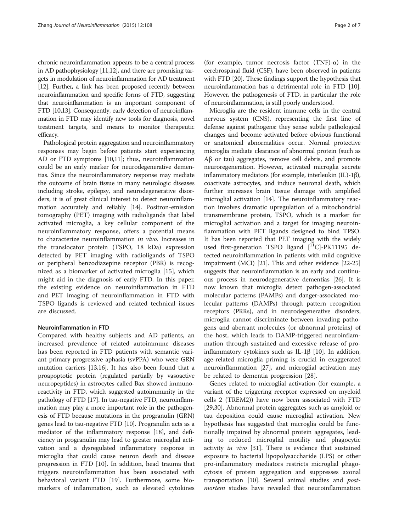chronic neuroinflammation appears to be a central process in AD pathophysiology [\[11,12](#page-4-0)], and there are promising targets in modulation of neuroinflammation for AD treatment [[12](#page-4-0)]. Further, a link has been proposed recently between neuroinflammation and specific forms of FTD, suggesting that neuroinflammation is an important component of FTD [\[10,13\]](#page-4-0). Consequently, early detection of neuroinflammation in FTD may identify new tools for diagnosis, novel treatment targets, and means to monitor therapeutic efficacy.

Pathological protein aggregation and neuroinflammatory responses may begin before patients start experiencing AD or FTD symptoms [\[10,11](#page-4-0)]; thus, neuroinflammation could be an early marker for neurodegenerative dementias. Since the neuroinflammatory response may mediate the outcome of brain tissue in many neurologic diseases including stroke, epilepsy, and neurodegenerative disorders, it is of great clinical interest to detect neuroinflammation accurately and reliably [\[14\]](#page-4-0). Positron-emission tomography (PET) imaging with radioligands that label activated microglia, a key cellular component of the neuroinflammatory response, offers a potential means to characterize neuroinflammation in vivo. Increases in the translocator protein (TSPO, 18 kDa) expression detected by PET imaging with radioligands of TSPO or peripheral benzodiazepine receptor (PBR) is recognized as a biomarker of activated microglia [[15\]](#page-4-0), which might aid in the diagnosis of early FTD. In this paper, the existing evidence on neuroinflammation in FTD and PET imaging of neuroinflammation in FTD with TSPO ligands is reviewed and related technical issues are discussed.

## Neuroinflammation in FTD

Compared with healthy subjects and AD patients, an increased prevalence of related autoimmune diseases has been reported in FTD patients with semantic variant primary progressive aphasia (svPPA) who were GRN mutation carriers [\[13,16\]](#page-4-0). It has also been found that a proapoptotic protein (regulated partially by vasoactive neuropeptides) in astrocytes called Bax showed immunoreactivity in FTD, which suggested autoimmunity in the pathology of FTD [[17\]](#page-4-0). In tau-negative FTD, neuroinflammation may play a more important role in the pathogenesis of FTD because mutations in the progranulin (GRN) genes lead to tau-negative FTD [[10](#page-4-0)]. Progranulin acts as a mediator of the inflammatory response [\[18\]](#page-4-0), and deficiency in progranulin may lead to greater microglial activation and a dysregulated inflammatory response in microglia that could cause neuron death and disease progression in FTD [\[10](#page-4-0)]. In addition, head trauma that triggers neuroinflammation has been associated with behavioral variant FTD [\[19\]](#page-4-0). Furthermore, some biomarkers of inflammation, such as elevated cytokines

(for example, tumor necrosis factor  $(TNF)-\alpha$ ) in the cerebrospinal fluid (CSF), have been observed in patients with FTD [[20](#page-4-0)]. These findings support the hypothesis that neuroinflammation has a detrimental role in FTD [[10](#page-4-0)]. However, the pathogenesis of FTD, in particular the role of neuroinflammation, is still poorly understood.

Microglia are the resident immune cells in the central nervous system (CNS), representing the first line of defense against pathogens: they sense subtle pathological changes and become activated before obvious functional or anatomical abnormalities occur. Normal protective microglia mediate clearance of abnormal protein (such as Aβ or tau) aggregates, remove cell debris, and promote neuroregeneration. However, activated microglia secrete inflammatory mediators (for example, interleukin (IL)-1β), coactivate astrocytes, and induce neuronal death, which further increases brain tissue damage with amplified microglial activation [\[14](#page-4-0)]. The neuroinflammatory reaction involves dramatic upregulation of a mitochondrial transmembrane protein, TSPO, which is a marker for microglial activation and a target for imaging neuroinflammation with PET ligands designed to bind TPSO. It has been reported that PET imaging with the widely used first-generation TSPO ligand  $[$ <sup>11</sup>C $]$ -PK11195 detected neuroinflammation in patients with mild cognitive impairment (MCI) [\[21\]](#page-4-0). This and other evidence [[22](#page-4-0)-[25](#page-5-0)] suggests that neuroinflammation is an early and continuous process in neurodegenerative dementias [[26](#page-5-0)]. It is now known that microglia detect pathogen-associated molecular patterns (PAMPs) and danger-associated molecular patterns (DAMPs) through pattern recognition receptors (PRRs), and in neurodegenerative disorders, microglia cannot discriminate between invading pathogens and aberrant molecules (or abnormal proteins) of the host, which leads to DAMP-triggered neuroinflammation through sustained and excessive release of proinflammatory cytokines such as IL-1β [[10\]](#page-4-0). In addition, age-related microglia priming is crucial in exaggerated neuroinflammation [[27](#page-5-0)], and microglial activation may be related to dementia progression [[28](#page-5-0)].

Genes related to microglial activation (for example, a variant of the triggering receptor expressed on myeloid cells 2 (TREM2)) have now been associated with FTD [[29,30\]](#page-5-0). Abnormal protein aggregates such as amyloid or tau deposition could cause microglial activation. New hypothesis has suggested that microglia could be functionally impaired by abnormal protein aggregates, leading to reduced microglial motility and phagocytic activity in vivo [\[31\]](#page-5-0). There is evidence that sustained exposure to bacterial lipopolysaccharide (LPS) or other pro-inflammatory mediators restricts microglial phagocytosis of protein aggregation and suppresses axonal transportation [[10](#page-4-0)]. Several animal studies and postmortem studies have revealed that neuroinflammation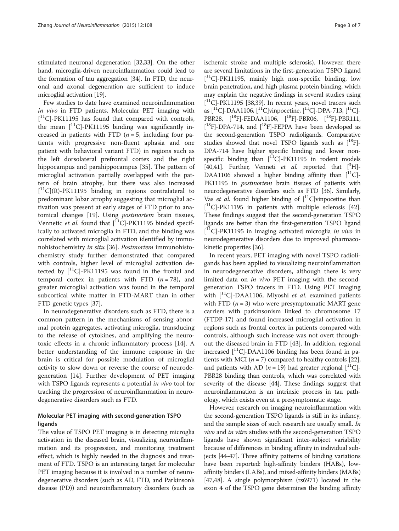stimulated neuronal degeneration [\[32,33](#page-5-0)]. On the other hand, microglia-driven neuroinflammation could lead to the formation of tau aggregation [\[34](#page-5-0)]. In FTD, the neuronal and axonal degeneration are sufficient to induce microglial activation [[19](#page-4-0)].

Few studies to date have examined neuroinflammation in vivo in FTD patients. Molecular PET imaging with [ 11C]-PK11195 has found that compared with controls, the mean  $\binom{11}{ }$ C]-PK11195 binding was significantly increased in patients with FTD  $(n = 5)$ , including four patients with progressive non-fluent aphasia and one patient with behavioral variant FTD) in regions such as the left dorsolateral prefrontal cortex and the right hippocampus and parahippocampus [[35\]](#page-5-0). The pattern of microglial activation partially overlapped with the pattern of brain atrophy, but there was also increased [ 11C](R)-PK11195 binding in regions contralateral to predominant lobar atrophy suggesting that microglial activation was present at early stages of FTD prior to anatomical changes [[19\]](#page-4-0). Using postmortem brain tissues, Vennetic et al. found that  $\tilde{[}^{11}C]-PK11195$  binded specifically to activated microglia in FTD, and the binding was correlated with microglial activation identified by immunohistochemistry in situ [[36](#page-5-0)]. Postmortem immunohistochemistry study further demonstrated that compared with controls, higher level of microglial activation detected by  $[^{11}C]$ -PK11195 was found in the frontal and temporal cortex in patients with FTD  $(n = 78)$ , and greater microglial activation was found in the temporal subcortical white matter in FTD-MART than in other FTD genetic types [[37](#page-5-0)].

In neurodegenerative disorders such as FTD, there is a common pattern in the mechanisms of sensing abnormal protein aggregates, activating microglia, transducing to the release of cytokines, and amplifying the neurotoxic effects in a chronic inflammatory process [\[14](#page-4-0)]. A better understanding of the immune response in the brain is critical for possible modulation of microglial activity to slow down or reverse the course of neurodegeneration [\[14](#page-4-0)]. Further development of PET imaging with TSPO ligands represents a potential in vivo tool for tracking the progression of neuroinflammation in neurodegenerative disorders such as FTD.

# Molecular PET imaging with second-generation TSPO ligands

The value of TSPO PET imaging is in detecting microglia activation in the diseased brain, visualizing neuroinflammation and its progression, and monitoring treatment effect, which is highly needed in the diagnosis and treatment of FTD. TSPO is an interesting target for molecular PET imaging because it is involved in a number of neurodegenerative disorders (such as AD, FTD, and Parkinson's disease (PD)) and neuroinflammatory disorders (such as ischemic stroke and multiple sclerosis). However, there are several limitations in the first-generation TSPO ligand [ 11C]-PK11195, mainly high non-specific binding, low brain penetration, and high plasma protein binding, which may explain the negative findings in several studies using  $[$ <sup>11</sup>C]-PK11195 [[38,39\]](#page-5-0). In recent years, novel tracers such as  $[^{11}C]$ -DAA1106,  $[^{11}C]$ vinpocetine,  $[^{11}C]$ -DPA-713,  $[^{11}C]$ -PBR28,  $[^{18}F]$ -FEDAA1106,  $[^{18}F]$ -PBR06,  $[^{18}F]$ -PBR111,  $[$ <sup>18</sup>F]-DPA-714, and  $[$ <sup>18</sup>F]-FEPPA have been developed as the second-generation TSPO radioligands. Comparative studies showed that novel TSPO ligands such as  $[{}^{18}F]$ -DPA-714 have higher specific binding and lower nonspecific binding than  $[$ <sup>11</sup>C $]$ -PK11195 in rodent models [[40,41\]](#page-5-0). Further, Venneti et al. reported that  $[^{3}H]$ -DAA1106 showed a higher binding affinity than  $[$ <sup>11</sup>C $]$ -PK11195 in *postmortem* brain tissues of patients with neurodegenerative disorders such as FTD [\[36\]](#page-5-0). Similarly, Vas et al. found higher binding of  $\vert^{11}$ C vinpocetine than [ 11C]-PK11195 in patients with multiple sclerosis [\[42](#page-5-0)]. These findings suggest that the second-generation TSPO ligands are better than the first-generation TSPO ligand [<sup>11</sup>C]-PK11195 in imaging activated microglia in vivo in neurodegenerative disorders due to improved pharmacokinetic properties [\[36\]](#page-5-0).

In recent years, PET imaging with novel TSPO radioligands has been applied to visualizing neuroinflammation in neurodegenerative disorders, although there is very limited data on in vivo PET imaging with the secondgeneration TSPO tracers in FTD. Using PET imaging with  $\lceil$ <sup>11</sup>C]-DAA1106, Miyoshi *et al.* examined patients with FTD  $(n = 3)$  who were presymptomatic MART gene carriers with parkinsonism linked to chromosome 17 (FTDP-17) and found increased microglial activation in regions such as frontal cortex in patients compared with controls, although such increase was not overt throughout the diseased brain in FTD [\[43\]](#page-5-0). In addition, regional increased [11C]-DAA1106 binding has been found in patients with MCI ( $n = 7$ ) compared to healthy controls [[22](#page-4-0)], and patients with AD ( $n = 19$ ) had greater regional [<sup>11</sup>C]-PBR28 binding than controls, which was correlated with severity of the disease [[44](#page-5-0)]. These findings suggest that neuroinflammation is an intrinsic process in tau pathology, which exists even at a presymptomatic stage.

However, research on imaging neuroinflammation with the second-generation TSPO ligands is still in its infancy, and the sample sizes of such research are usually small. In vivo and in vitro studies with the second-generation TSPO ligands have shown significant inter-subject variability because of differences in binding affinity in individual subjects [\[44-47\]](#page-5-0). Three affinity patterns of binding variations have been reported: high-affinity binders (HABs), lowaffinity binders (LABs), and mixed-affinity binders (MABs) [[47,48](#page-5-0)]. A single polymorphism (rs6971) located in the exon 4 of the TSPO gene determines the binding affinity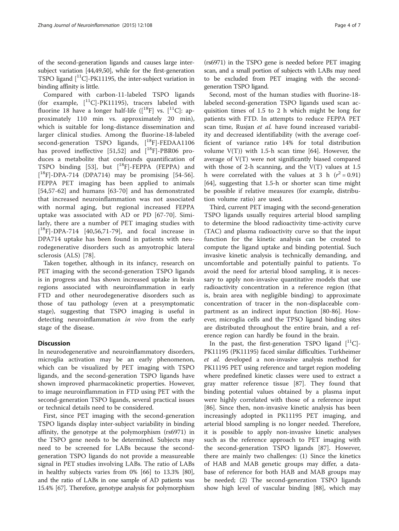of the second-generation ligands and causes large intersubject variation [[44,49,50](#page-5-0)], while for the first-generation TSPO ligand  $\binom{11}{1}$ -PK11195, the inter-subject variation in binding affinity is little.

Compared with carbon-11-labeled TSPO ligands (for example,  $[$ <sup>11</sup>C]-PK11195), tracers labeled with fluorine 18 have a longer half-life  $([$ <sup>18</sup>F] vs.  $[$ <sup>11</sup>C]: approximately 110 min vs. approximately 20 min), which is suitable for long-distance dissemination and larger clinical studies. Among the fluorine-18-labeled second-generation TSPO ligands,  $[{}^{18}F]$ -FEDAA1106 has proved ineffective [\[51,52](#page-5-0)] and  $[^{18}F]$ -PBR06 produces a metabolite that confounds quantification of TSPO binding [[53\]](#page-5-0), but  $[$ <sup>18</sup>F]-FEPPA (FEPPA) and [ 18F]-DPA-714 (DPA714) may be promising [\[54-56](#page-5-0)]. FEPPA PET imaging has been applied to animals [[54,57](#page-5-0)-[62\]](#page-5-0) and humans [[63](#page-5-0)-[70\]](#page-6-0) and has demonstrated that increased neuroinflammation was not associated with normal aging, but regional increased FEPPA uptake was associated with AD or PD [\[67](#page-6-0)-[70\]](#page-6-0). Similarly, there are a number of PET imaging studies with [ 18F]-DPA-714 [[40,56](#page-5-0)[,71](#page-6-0)-[79\]](#page-6-0), and focal increase in DPA714 uptake has been found in patients with neurodegenerative disorders such as amyotrophic lateral sclerosis (ALS) [[78](#page-6-0)].

Taken together, although in its infancy, research on PET imaging with the second-generation TSPO ligands is in progress and has shown increased uptake in brain regions associated with neuroinflammation in early FTD and other neurodegenerative disorders such as those of tau pathology (even at a presymptomatic stage), suggesting that TSPO imaging is useful in detecting neuroinflammation in vivo from the early stage of the disease.

# **Discussion**

In neurodegenerative and neuroinflammatory disorders, microglia activation may be an early phenomenon, which can be visualized by PET imaging with TSPO ligands, and the second-generation TSPO ligands have shown improved pharmacokinetic properties. However, to image neuroinflammation in FTD using PET with the second-generation TSPO ligands, several practical issues or technical details need to be considered.

First, since PET imaging with the second-generation TSPO ligands display inter-subject variability in binding affinity, the genotype at the polymorphism (rs6971) in the TSPO gene needs to be determined. Subjects may need to be screened for LABs because the secondgeneration TSPO ligands do not provide a measureable signal in PET studies involving LABs. The ratio of LABs in healthy subjects varies from 0% [\[66\]](#page-6-0) to 13.3% [\[80](#page-6-0)], and the ratio of LABs in one sample of AD patients was 15.4% [[67](#page-6-0)]. Therefore, genotype analysis for polymorphism

(rs6971) in the TSPO gene is needed before PET imaging scan, and a small portion of subjects with LABs may need to be excluded from PET imaging with the secondgeneration TSPO ligand.

Second, most of the human studies with fluorine-18 labeled second-generation TSPO ligands used scan acquisition times of 1.5 to 2 h which might be long for patients with FTD. In attempts to reduce FEPPA PET scan time, Rusjan et al. have found increased variability and decreased identifiability (with the average coefficient of variance ratio 14% for total distribution volume  $V(T)$ ) with 1.5-h scan time [\[64](#page-5-0)]. However, the average of V(T) were not significantly biased compared with those of 2-h scanning, and the  $V(T)$  values at 1.5 h were correlated with the values at 3 h  $(r^2 = 0.91)$ [[64\]](#page-5-0), suggesting that 1.5-h or shorter scan time might be possible if relative measures (for example, distribution volume ratio) are used.

Third, current PET imaging with the second-generation TSPO ligands usually requires arterial blood sampling to determine the blood radioactivity time-activity curve (TAC) and plasma radioactivity curve so that the input function for the kinetic analysis can be created to compute the ligand uptake and binding potential. Such invasive kinetic analysis is technically demanding, and uncomfortable and potentially painful to patients. To avoid the need for arterial blood sampling, it is necessary to apply non-invasive quantitative models that use radioactivity concentration in a reference region (that is, brain area with negligible binding) to approximate concentration of tracer in the non-displaceable compartment as an indirect input function [[80-86](#page-6-0)]. However, microglia cells and the TPSO ligand binding sites are distributed throughout the entire brain, and a reference region can hardly be found in the brain.

In the past, the first-generation TSPO ligand  $[^{11}C]$ -PK11195 (PK11195) faced similar difficulties. Turkheimer et al. developed a non-invasive analysis method for PK11195 PET using reference and target region modeling where predefined kinetic classes were used to extract a gray matter reference tissue [\[87](#page-6-0)]. They found that binding potential values obtained by a plasma input were highly correlated with those of a reference input [[86\]](#page-6-0). Since then, non-invasive kinetic analysis has been increasingly adopted in PK11195 PET imaging, and arterial blood sampling is no longer needed. Therefore, it is possible to apply non-invasive kinetic analyses such as the reference approach to PET imaging with the second-generation TSPO ligands [\[87](#page-6-0)]. However, there are mainly two challenges: (1) Since the kinetics of HAB and MAB genetic groups may differ, a database of reference for both HAB and MAB groups may be needed; (2) The second-generation TSPO ligands show high level of vascular binding [[88\]](#page-6-0), which may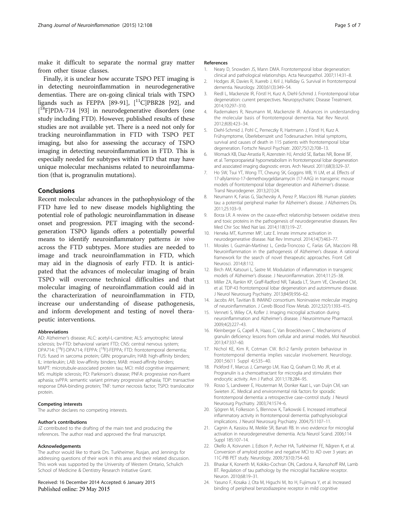<span id="page-4-0"></span>make it difficult to separate the normal gray matter from other tissue classes.

Finally, it is unclear how accurate TSPO PET imaging is in detecting neuroinflammation in neurodegenerative dementias. There are on-going clinical trials with TSPO ligands such as FEPPA [[89](#page-6-0)-[91](#page-6-0)],  $[^{11}C]$ PBR28 [\[92\]](#page-6-0), and [ 18F]PDA-714 [[93](#page-6-0)] in neurodegenerative disorders (one study including FTD). However, published results of these studies are not available yet. There is a need not only for tracking neuroinflammation in FTD with TSPO PET imaging, but also for assessing the accuracy of TSPO imaging in detecting neuroinflammation in FTD. This is especially needed for subtypes within FTD that may have unique molecular mechanisms related to neuroinflammation (that is, progranulin mutations).

# Conclusions

Recent molecular advances in the pathophysiology of the FTD have led to new disease models highlighting the potential role of pathologic neuroinflammation in disease onset and progression. PET imaging with the secondgeneration TSPO ligands offers a potentially powerful means to identify neuroinflammatory patterns in vivo across the FTD subtypes. More studies are needed to image and track neuroinflammation in FTD, which may aid in the diagnosis of early FTD. It is anticipated that the advances of molecular imaging of brain TSPO will overcome technical difficulties and that molecular imaging of neuroinflammation could aid in the characterization of neuroinflammation in FTD, increase our understanding of disease pathogenesis, and inform development and testing of novel therapeutic interventions.

#### Abbreviations

AD: Alzheimer's disease; ALC: acetyl-L-carnitine; ALS: amyotrophic lateral sclerosis; bv-FTD: behavioral variant FTD; CNS: central nervous system; DPA714: [<sup>18</sup>F]-DPA714; FEPPA: [<sup>18</sup>F]-FEPPA; FTD: frontotemporal dementia; FUS: fused in sarcoma protein; GRN: progranulin; HAB: high-affinity binders; IL: interleukin; LAB: low-affinity binders; MAB: mixed-affinity binders; MAPT: microtubule-associated protein tau; MCI: mild cognitive impairment; MS: multiple sclerosis; PD: Parkinson's disease; PNFA: progressive non-fluent aphasia; svPPA: semantic variant primary progressive aphasia; TDP: transactive response DNA-binding protein; TNF: tumor necrosis factor; TSPO: translocator protein.

#### Competing interests

The author declares no competing interests.

#### Author's contributions

JZ contributed to the drafting of the main text and producing the references. The author read and approved the final manuscript.

#### Acknowledgements

The author would like to thank Drs. Turkheimer, Rusjan, and Jennings for addressing questions of their work in this area and their related discussion. This work was supported by the University of Western Ontario, Schulich School of Medicine & Dentistry Research Initiative Grant.

### Received: 16 December 2014 Accepted: 6 January 2015 Published online: 29 May 2015

#### References

- 1. Neary D, Snowden JS, Mann DMA. Frontotemporal lobar degeneration: clinical and pathological relationships. Acta Neuropathol. 2007;114:31–8.
- 2. Hodges JR, Davies R, Xuereb J, Kril J, Halliday G. Survival in frontotemporal dementia. Neurology. 2003;61(3):349–54.
- 3. Riedl L, Mackenzie IR, Förstl H, Kurz A, Diehl-Schmid J. Frontotemporal lobar degeneration: current perspectives. Neuropsychiatric Disease Treatment. 2014;10:297–310.
- 4. Rademakers R, Neumann M, Mackenzie IR. Advances in understanding the molecular basis of frontotemporal dementia. Nat Rev Neurol. 2012;8(8):423–34.
- 5. Diehl-Schmid J, Pohl C, Perneczky R, Hartmann J, Förstl H, Kurz A. Frühsymptome, Überlebenszeit und Todesursachen. Initial symptoms, survival and causes of death in 115 patients with frontotemporal lobar degeneration. Fortschr Neurol Psychiatr. 2007;75(12):708–13.
- 6. Womack KB, Diaz-Arrastia R, Aizenstein HJ, Arnold SE, Barbas NR, Boeve BF, et al. Temporoparietal hypometabolism in frontotemporal lobar degeneration and associated imaging diagnostic errors. Arch Neurol. 2011;68(3):329–37.
- 7. Ho SW, Tsui YT, Wong TT, Cheung SK, Goggins WB, Yi LM, et al. Effects of 17-allylamino-17-demethoxygeldanamycin (17-AAG) in transgenic mouse models of frontotemporal lobar degeneration and Alzheimer's disease. Transl Neurodegener. 2013;2(1):24.
- 8. Neumann K, Farias G, Slachevsky A, Perez P, Maccioni RB. Human platelets tau: a potential peripheral marker for Alzheimer's disease. J Alzheimers Dis. 2011;25:103–9.
- 9. Borza LR. A review on the cause-effect relationship between oxidative stress and toxic proteins in the pathogenesis of neurodegenerative diseases. Rev Med Chir Soc Med Nat Iasi. 2014;118(1):19–27.
- 10. Heneka MT, Kummer MP, Latz E. Innate immune activation in neurodegenerative disease. Nat Rev Immunol. 2014;14(7):463–77.
- 11. Morales I, Guzmán-Martínez L, Cerda-Troncoso C, Farías GA, Maccioni RB. Neuroinflammation in the pathogenesis of Alzheimer's disease. A rational framework for the search of novel therapeutic approaches. Front Cell Neurosci. 2014;8:112.
- 12. Birch AM, Katsouri L, Sastre M. Modulation of inflammation in transgenic models of Alzheimer's disease. J Neuroinflammation. 2014;11:25–38.
- 13. Miller ZA, Rankin KP, Graff-Radford NR, Takada LT, Sturm VE, Cleveland CM, et al. TDP-43 frontotemporal lobar degeneration and autoimmune disease. J Neurol Neurosurg Psychiatry. 2013;84(9):956–62.
- 14. Jacobs AH, Tavitian B. INMiND consortium. Noninvasive molecular imaging of neuroinflammation. J Cereb Blood Flow Metab. 2012;32(7):1393–415.
- 15. Venneti S, Wiley CA, Kofler J. Imaging microglial activation during neuroinflammation and Alzheimer's disease. J Neuroimmune Pharmacol. 2009;4(2):227–43.
- 16. Kleinberger G, Capell A, Haass C, Van Broeckhoven C. Mechanisms of granulin deficiency: lessons from cellular and animal models. Mol Neurobiol. 2013;47:337–60.
- 17. Nichol KE, Kim R, Cotman CW. Bcl-2 family protein behaviour in frontotemporal dementia implies vascular involvement. Neurology. 2001;56(11 Suppl 4):S35–40.
- 18. Pickford F, Marcus J, Camargo LM, Xiao Q, Graham D, Mo JR, et al. Progranulin is a chemoattractant for microglia and stimulates their endocytic activity. Am J Pathol. 2011;178:284–95.
- 19. Rosso S, Landweer E, Houterman M, Donker Kaat L, van Duijn CM, van Swieten JC. Medical and environmental risk factors for sporadic frontotemporal dementia: a retrospective case–control study. J Neurol Neurosurg Psychiatry. 2003;74:1574–6.
- 20. Sjögren M, Folkesson S, Blennow K, Tarkowski E. Increased intrathecal inflammatory activity in frontotemporal dementia: pathophysiological implications. J Neurol Neurosurg Psychiatry. 2004;75:1107–11.
- 21. Cagnin A, Kassiou M, Meikle SR, Banati RB. In vivo evidence for microglial activation in neurodegenerative dementia. Acta Neurol Scand. 2006;114 Suppl 185:107–14.
- 22. Okello A, Koivunen J, Edison P, Archer HA, Turkheimer FE, Någren K, et al. Conversion of amyloid positive and negative MCI to AD over 3 years: an 11C-PIB PET study. Neurology. 2009;73(10):754–60.
- 23. Bhaskar K, Konerth M, Kokiko-Cochran ON, Cardona A, Ransohoff RM, Lamb BT. Regulation of tau pathology by the microglial fractalkine receptor. Neuron. 2010;68:19–31.
- 24. Yasuno F, Kosaka J, Ota M, Higuchi M, Ito H, Fujimura Y, et al. Increased binding of peripheral benzodiazepine receptor in mild cognitive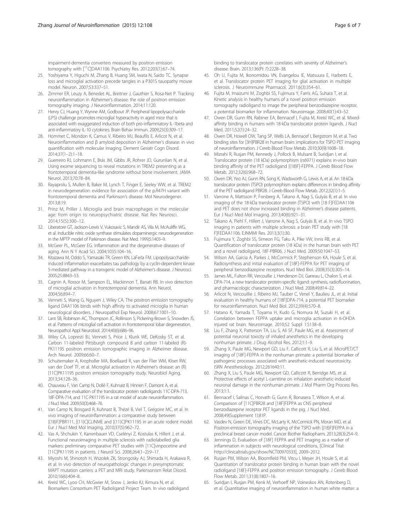<span id="page-5-0"></span>impairment-dementia converters measured by positron emission tomography with  $\int$ <sup>11</sup>C]DAA1106. Psychiatry Res. 2012;203(1):67-74.

- 25. Yoshiyama Y, Higuchi M, Zhang B, Huang SM, Iwata N, Saido TC. Synapse loss and microglial activation precede tangles in a P301S tauopathy mouse model. Neuron. 2007;53:337–51.
- 26. Zimmer ER, Leuzy A, Benedet AL, Breitner J, Gauthier S, Rosa-Net P. Tracking neuroinflammation in Alzheimer's disease: the role of positron emission tomography imaging. J Neuroinflammation. 2014;11:120.
- 27. Henry CJ, Huang Y, Wynne AM, Godbout JP. Peripheral lipopolysaccharide (LPS) challenge promotes microglial hyperactivity in aged mice that is associated with exaggerated induction of both pro-inflammatory IL-1beta and anti-inflammatory IL-10 cytokines. Brain Behav Immun. 2009;23(3):309–17.
- 28. Hommet C, Mondon K, Camus V, Ribeiro MJ, Beaufils E, Arlicot N, et al. Neuroinflammation and β amyloid deposition in Alzheimer's disease: in vivo quantification with molecular imaging. Dement Geriatr Cogn Disord. 2014;37(1–2):1–18.
- 29. Guerreiro RJ, Lohmann E, Brás JM, Gibbs JR, Rohrer JD, Gurunlian N, et al. Using exome sequencing to reveal mutations in TREM2 presenting as a frontotemporal dementia-like syndrome without bone involvement. JAMA Neurol. 2013;70:78–84.
- 30. Rayaprolu S, Mullen B, Baker M, Lynch T, Finger E, Seeley WW, et al. TREM2 in neurodegeneration: evidence for association of the p.R47H variant with frontotemporal dementia and Parkinson's disease. Mol Neurodegener. 2013;8:19.
- 31. Prinz M, Priller J. Microglia and brain macrophages in the molecular age: from origin to neuropsychiatric disease. Nat Rev Neurosci. 2014;15(5):300–12.
- 32. Liberatore GT, Jackson-Lewis V, Vukosavic S, Mandir AS, Vila M, McAuliffe WG, et al. Inducible nitric oxide synthase stimulates dopaminergic neurodegeneration in the MPTP model of Parkinson disease. Nat Med. 1999;5:1403–9.
- 33. McGeer PL, McGeer EG. Inflammation and the degenerative diseases of aging. Ann N Y Acad Sci. 2004;1035:104–16.
- 34. Kitazawa M, Oddo S, Yamasaki TR, Green KN, LaFerla FM. Lipopolysaccharideinduced inflammation exacerbates tau pathology by a cyclin-dependent kinase 5-mediated pathway in a transgenic model of Alzheimer's disease. J Neurosci. 2005;25:8843–53.
- 35. Cagnin A, Rossor M, Sampson EL, Mackinnon T, Banati RB. In vivo detection of microglial activation in frontotemporal dementia. Ann Neurol. 2004;56:894–7.
- 36. Venneti S, Wang G, Nguyen J, Wiley CA. The positron emission tomography ligand DAA1106 binds with high affinity to activated microglia in human neurological disorders. J Neuropathol Exp Neurol. 2008;67:1001–10.
- 37. Lant SB, Robinson AC, Thompson JC, Rollinson S, Pickering-Brown S, Snowden JS, et al. Patterns of microglial cell activation in frontotemporal lobar degeneration. Neuropathol Appl Neurobiol. 2014;40(6):686–96.
- 38. Wiley CA, Lopresti BJ, Venneti S, Price J, Klunk WE, DeKosky ST, et al. Carbon 11-labeled Pittsburgh compound B and carbon 11-labeled (R)- PK11195 positron emission tomographic imaging in Alzheimer disease. Arch Neurol. 2009;66:60–7.
- 39. Schuitemaker A, Kropholler MA, Boellaard R, van der Flier WM, Kloet RW, van der Doef TF, et al. Microglial activation in Alzheimer's disease: an (R) [11C]PK11195 positron emission tomography study. Neurobiol Aging. 2013;34:128–36.
- 40. Chauveau F, Van Camp N, Dollé F, Kuhnast B, Hinnen F, Damont A, et al. Comparative evaluation of the translocator protein radioligands 11C-DPA-713, 18F-DPA-714, and 11C-PK11195 in a rat model of acute neuroinflammation. J Nucl Med. 2009;50(3):468–76.
- 41. Van Camp N, Boisgard R, Kuhnast B, Thézé B, Viel T, Grégoire MC, et al. In vivo imaging of neuroinflammation: a comparative study between [(18)F]PBR111, [(11)C]CLINME and [(11)C]PK11195 in an acute rodent model. Eur J Nucl Med Mol Imaging. 2010;37(5):962–72.
- 42. Vas A, Shchukin Y, Karrenbauer VD, Cselényi Z, Kostulas K, Hillert J, et al. Functional neuroimaging in multiple sclerosis with radiolabelled glia markers: preliminary comparative PET studies with [11C]vinpocetine and [11C]PK11195 in patients. J Neurol Sci. 2008;264(1–2):9–17.
- 43. Miyoshi M, Shinotoh H, Wszolek ZK, Strongosky AJ, Shimada H, Arakawa R, et al. In vivo detection of neuropathologic changes in presymptomatic MAPT mutation carriers: a PET and MRI study. Parkinsonism Relat Disord. 2010;16(6):404–8.
- 44. Kreisl WC, Lyoo CH, McGwier M, Snow J, Jenko KJ, Kimura N, et al. Biomarkers Consortium PET Radioligand Project Team. In vivo radioligand

binding to translocator protein correlates with severity of Alzheimer's disease. Brain. 2013;136(Pt 7):2228–38.

- 45. Oh U, Fujita M, Ikonomidou VN, Evangelou IE, Matsuura E, Harberts E, et al. Translocator protein PET imaging for glial activation in multiple sclerosis. J Neuroimmune Pharmacol. 2011;6(3):354–61.
- 46. Fujita M, Imaizumi M, Zoghbi SS, Fujimura Y, Farris AG, Suhara T, et al. Kinetic analysis in healthy humans of a novel positron emission tomography radioligand to image the peripheral benzodiazepine receptor, a potential biomarker for inflammation. Neuroimage. 2008;40(1):43–52.
- 47. Owen DR, Gunn RN, Rabiner EA, Bennacef I, Fujita M, Kreisl WC, et al. Mixedaffinity binding in humans with 18-kDa translocator protein ligands. J Nucl Med. 2011;52(1):24–32.
- 48. Owen DR, Howell OW, Tang SP, Wells LA, Bennacef I, Bergstrom M, et al. Two binding sites for [3H]PBR28 in human brain: implications for TSPO PET imaging of neuroinflammation. J Cereb Blood Flow Metab. 2010;30(9):1608–18.
- 49. Mizrahi R, Rusjan PM, Kennedy J, Pollock B, Mulsant B, Suridjan I, et al. Translocator protein (18 kDa) polymorphism (rs6971) explains in-vivo brain binding affinity of the PET radioligand [(18)F]-FEPPA. J Cereb Blood Flow Metab. 2012;32(6):968–72.
- 50. Owen DR, Yeo AJ, Gunn RN, Song K, Wadsworth G, Lewis A, et al. An 18-kDa translocator protein (TSPO) polymorphism explains differences in binding affinity of the PET radioligand PBR28. J Cereb Blood Flow Metab. 2012;32(1):1–5.
- 51. Varrone A, Mattsson P, Forsberg A, Takano A, Nag S, Gulyás B, et al. In vivo imaging of the 18-kDa translocator protein (TSPO) with [18 F]FEDAA1106 and PET does not show increased binding in Alzheimer's disease patients. Eur J Nucl Med Mol Imaging. 2013;40(6):921–31.
- 52. Takano A, Piehl F, Hillert J, Varrone A, Nag S, Gulyás B, et al. In vivo TSPO imaging in patients with multiple sclerosis: a brain PET study with [18 F]FEDAA1106. EJNMMI Res. 2013;3(1):30.
- 53. Fujimura Y, Zoghbi SS, Simeon FG, Taku A, Pike VW, Innis RB, et al. Quantification of translocator protein (18 kDa) in the human brain with PET and a novel radioligand, 18F-PBR06. J Nucl Med. 2009;50:1047–53.
- 54. Wilson AA, Garcia A, Parkes J, McCormick P, Stephenson KA, Houle S, et al. Radiosynthesis and initial evaluation of [18F]-FEPPA for PET imaging of peripheral benzodiazepine receptors. Nucl Med Biol. 2008;35(3):305–14.
- James ML, Fulton RR, Vercoullie J, Henderson DJ, Garreau L, Chalon S, et al. DPA-714, a new translocator protein-specific ligand: synthesis, radiofluorination, and pharmacologic characterization. J Nucl Med. 2008;49:814–22.
- 56. Arlicot N, Vercouillie J, Ribeiro MJ, Tauber C, Venel Y, Baulieu JL, et al. Initial evaluation in healthy humans of [18F]DPA-714, a potential PET biomarker for neuroinflammation. Nucl Med Biol. 2012;39(4):570–8.
- 57. Hatano K, Yamada T, Toyama H, Kudo G, Nomura M, Suzuki H, et al. Correlation between FEPPA uptake and microglia activation in 6-OHDA injured rat brain. Neuroimage. 2010;52 Suppl 1:S138–8.
- 58. Liu F, Zhang X, Patterson TA, Liu S, Ali SF, Paule MG, et al. Assessment of potential neuronal toxicity of inhaled anesthetics in the developing nonhuman primate. J Drug Alcohol Res. 2012;1:1–9.
- 59. Zhang X, Paule MG, Newport GD, Liu F, Callicott R, Liu S, et al. MicroPET/CT imaging of [18F]-FEPPA in the nonhuman primate: a potential biomarker of pathogenic processes associated with anesthetic-induced neurotoxicity. ISRN Anesthesiology. 2012;261640:11.
- 60. Zhang X, Liu S, Paule MG, Newport GD, Callicott R, Berridge MS, et al. Protective effects of acetyl L-carnitine on inhalation anesthetic-induced neuronal damage in the nonhuman primate. J Mol Pharm Org Process Res. 2013;1:1.
- 61. Bennacef I, Salinas C, Horvath G, Gunn R, Bonasera T, Wilson A, et al. Comparison of [11C]PBR28 and [18F]FEPPA as CNS peripheral benzodiazepine receptor PET ligands in the pig. J Nucl Med. 2008;49(Supplement 1):81P.
- 62. Vasdev N, Green DE, Vines DC, McLarty K, McCormick PN, Moran MD, et al. Positron-emission tomography imaging of the TSPO with [(18)F]FEPPA in a preclinical breast cancer model. Cancer Biother Radiopharm. 2013;28(3):254–9.
- 63. Jennings D, Evaluation of [18F] FEPPA and PET imaging as a marker of inflammation in subjects with neurological conditions, [Clinical Trial: <http://clinicaltrials.gov/show/NCT00970333>], 2009–2012.
- 64. Rusjan PM, Wilson AA, Bloomfield PM, Vitcu I, Meyer JH, Houle S, et al. Quantitation of translocator protein binding in human brain with the novel radioligand [18F]-FEPPA and positron emission tomography. J Cereb Blood Flow Metab. 2011;31(8):1807–16.
- 65. Suridjan I, Rusjan PM, Kenk M, Verhoeff NP, Voineskos AN, Rotenberg D, et al. Quantitative imaging of neuroinflammation in human white matter: a